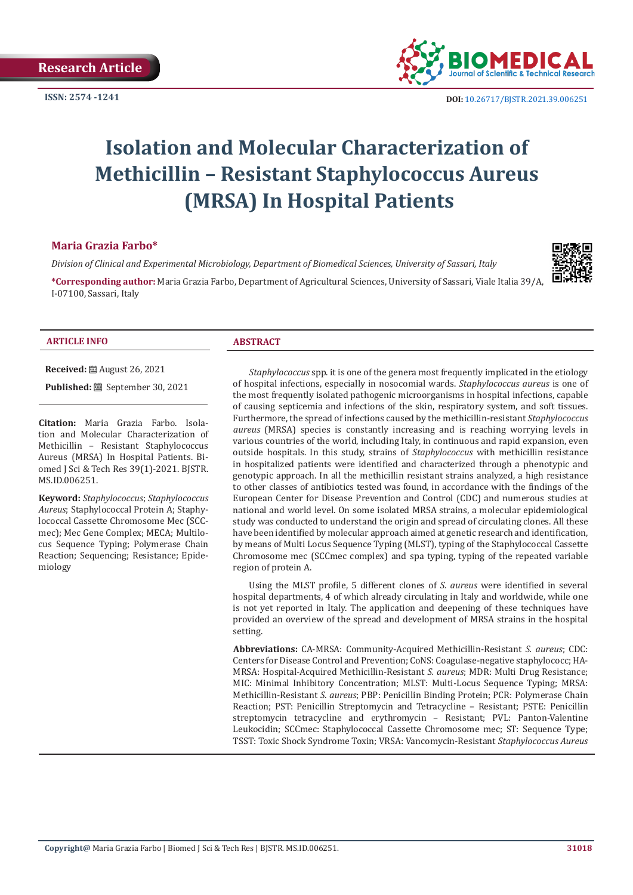**ISSN: 2574 -1241**



# **Isolation and Molecular Characterization of Methicillin – Resistant Staphylococcus Aureus (MRSA) In Hospital Patients**

### **Maria Grazia Farbo\***

*Division of Clinical and Experimental Microbiology, Department of Biomedical Sciences, University of Sassari, Italy*

**\*Corresponding author:** Maria Grazia Farbo, Department of Agricultural Sciences, University of Sassari, Viale Italia 39/A, I-07100, Sassari, Italy



#### **ARTICLE INFO ABSTRACT**

**Received:** August 26, 2021

Published: **ill** September 30, 2021

**Citation:** Maria Grazia Farbo. Isolation and Molecular Characterization of Methicillin – Resistant Staphylococcus Aureus (MRSA) In Hospital Patients. Biomed J Sci & Tech Res 39(1)-2021. BJSTR. MS.ID.006251.

**Keyword:** *Staphylococcus*; *Staphylococcus Aureus*; Staphylococcal Protein A; Staphylococcal Cassette Chromosome Mec (SCCmec); Mec Gene Complex; MECA; Multilocus Sequence Typing; Polymerase Chain Reaction; Sequencing; Resistance; Epidemiology

*Staphylococcus* spp. it is one of the genera most frequently implicated in the etiology of hospital infections, especially in nosocomial wards. *Staphylococcus aureus* is one of the most frequently isolated pathogenic microorganisms in hospital infections, capable of causing septicemia and infections of the skin, respiratory system, and soft tissues. Furthermore, the spread of infections caused by the methicillin-resistant *Staphylococcus aureus* (MRSA) species is constantly increasing and is reaching worrying levels in various countries of the world, including Italy, in continuous and rapid expansion, even outside hospitals. In this study, strains of *Staphylococcus* with methicillin resistance in hospitalized patients were identified and characterized through a phenotypic and genotypic approach. In all the methicillin resistant strains analyzed, a high resistance to other classes of antibiotics tested was found, in accordance with the findings of the European Center for Disease Prevention and Control (CDC) and numerous studies at national and world level. On some isolated MRSA strains, a molecular epidemiological study was conducted to understand the origin and spread of circulating clones. All these have been identified by molecular approach aimed at genetic research and identification, by means of Multi Locus Sequence Typing (MLST), typing of the Staphylococcal Cassette Chromosome mec (SCCmec complex) and spa typing, typing of the repeated variable region of protein A.

Using the MLST profile, 5 different clones of *S. aureus* were identified in several hospital departments, 4 of which already circulating in Italy and worldwide, while one is not yet reported in Italy. The application and deepening of these techniques have provided an overview of the spread and development of MRSA strains in the hospital setting.

**Abbreviations:** CA-MRSA: Community-Acquired Methicillin-Resistant *S. aureus*; CDC: Centers for Disease Control and Prevention; CoNS: Coagulase-negative staphylococc; HA-MRSA: Hospital-Acquired Methicillin-Resistant *S. aureus*; MDR: Multi Drug Resistance; MIC: Minimal Inhibitory Concentration; MLST: Multi-Locus Sequence Typing; MRSA: Methicillin-Resistant *S. aureus*; PBP: Penicillin Binding Protein; PCR: Polymerase Chain Reaction; PST: Penicillin Streptomycin and Tetracycline – Resistant; PSTE: Penicillin streptomycin tetracycline and erythromycin – Resistant; PVL: Panton-Valentine Leukocidin; SCCmec: Staphylococcal Cassette Chromosome mec; ST: Sequence Type; TSST: Toxic Shock Syndrome Toxin; VRSA: Vancomycin-Resistant *Staphylococcus Aureus*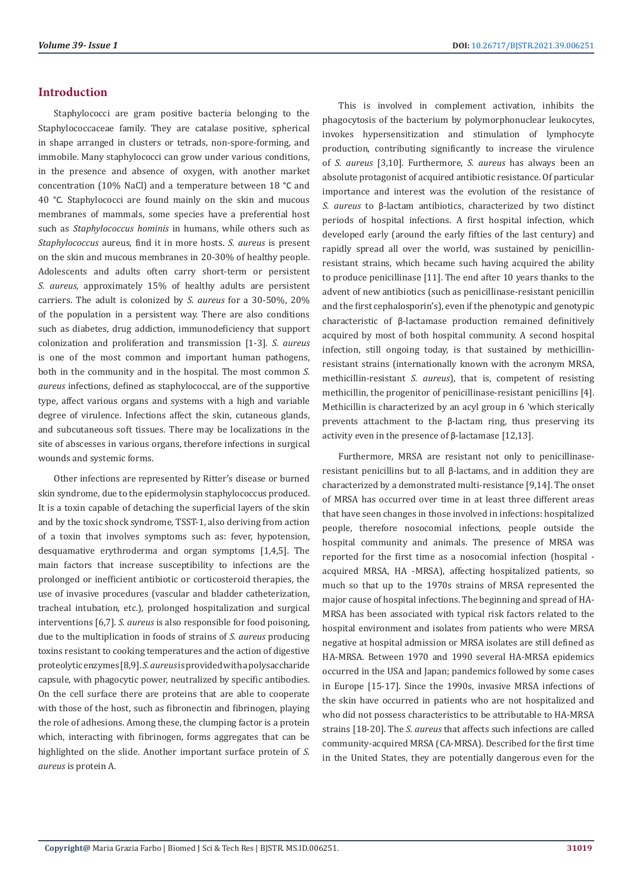# **Introduction**

Staphylococci are gram positive bacteria belonging to the Staphylococcaceae family. They are catalase positive, spherical in shape arranged in clusters or tetrads, non-spore-forming, and immobile. Many staphylococci can grow under various conditions, in the presence and absence of oxygen, with another market concentration (10% NaCl) and a temperature between 18 °C and 40 °C. Staphylococci are found mainly on the skin and mucous membranes of mammals, some species have a preferential host such as *Staphylococcus hominis* in humans, while others such as *Staphylococcus* aureus, find it in more hosts. *S. aureus* is present on the skin and mucous membranes in 20-30% of healthy people. Adolescents and adults often carry short-term or persistent *S. aureus*, approximately 15% of healthy adults are persistent carriers. The adult is colonized by *S. aureus* for a 30-50%, 20% of the population in a persistent way. There are also conditions such as diabetes, drug addiction, immunodeficiency that support colonization and proliferation and transmission [1-3]. *S. aureus* is one of the most common and important human pathogens, both in the community and in the hospital. The most common *S. aureus* infections, defined as staphylococcal, are of the supportive type, affect various organs and systems with a high and variable degree of virulence. Infections affect the skin, cutaneous glands, and subcutaneous soft tissues. There may be localizations in the site of abscesses in various organs, therefore infections in surgical wounds and systemic forms.

Other infections are represented by Ritter's disease or burned skin syndrome, due to the epidermolysin staphylococcus produced. It is a toxin capable of detaching the superficial layers of the skin and by the toxic shock syndrome, TSST-1, also deriving from action of a toxin that involves symptoms such as: fever, hypotension, desquamative erythroderma and organ symptoms [1,4,5]. The main factors that increase susceptibility to infections are the prolonged or inefficient antibiotic or corticosteroid therapies, the use of invasive procedures (vascular and bladder catheterization, tracheal intubation, etc.), prolonged hospitalization and surgical interventions [6,7]. *S. aureus* is also responsible for food poisoning, due to the multiplication in foods of strains of *S. aureus* producing toxins resistant to cooking temperatures and the action of digestive proteolytic enzymes [8,9]. *S. aureus* is provided with a polysaccharide capsule, with phagocytic power, neutralized by specific antibodies. On the cell surface there are proteins that are able to cooperate with those of the host, such as fibronectin and fibrinogen, playing the role of adhesions. Among these, the clumping factor is a protein which, interacting with fibrinogen, forms aggregates that can be highlighted on the slide. Another important surface protein of *S. aureus* is protein A.

This is involved in complement activation, inhibits the phagocytosis of the bacterium by polymorphonuclear leukocytes, invokes hypersensitization and stimulation of lymphocyte production, contributing significantly to increase the virulence of *S. aureus* [3,10]. Furthermore, *S. aureus* has always been an absolute protagonist of acquired antibiotic resistance. Of particular importance and interest was the evolution of the resistance of *S. aureus* to β-lactam antibiotics, characterized by two distinct periods of hospital infections. A first hospital infection, which developed early (around the early fifties of the last century) and rapidly spread all over the world, was sustained by penicillinresistant strains, which became such having acquired the ability to produce penicillinase [11]. The end after 10 years thanks to the advent of new antibiotics (such as penicillinase-resistant penicillin and the first cephalosporin's), even if the phenotypic and genotypic characteristic of β-lactamase production remained definitively acquired by most of both hospital community. A second hospital infection, still ongoing today, is that sustained by methicillinresistant strains (internationally known with the acronym MRSA, methicillin-resistant *S. aureus*), that is, competent of resisting methicillin, the progenitor of penicillinase-resistant penicillins [4]. Methicillin is characterized by an acyl group in 6 'which sterically prevents attachment to the β-lactam ring, thus preserving its activity even in the presence of β-lactamase [12,13].

Furthermore, MRSA are resistant not only to penicillinaseresistant penicillins but to all β-lactams, and in addition they are characterized by a demonstrated multi-resistance [9,14]. The onset of MRSA has occurred over time in at least three different areas that have seen changes in those involved in infections: hospitalized people, therefore nosocomial infections, people outside the hospital community and animals. The presence of MRSA was reported for the first time as a nosocomial infection (hospital acquired MRSA, HA -MRSA), affecting hospitalized patients, so much so that up to the 1970s strains of MRSA represented the major cause of hospital infections. The beginning and spread of HA-MRSA has been associated with typical risk factors related to the hospital environment and isolates from patients who were MRSA negative at hospital admission or MRSA isolates are still defined as HA-MRSA. Between 1970 and 1990 several HA-MRSA epidemics occurred in the USA and Japan; pandemics followed by some cases in Europe [15-17]. Since the 1990s, invasive MRSA infections of the skin have occurred in patients who are not hospitalized and who did not possess characteristics to be attributable to HA-MRSA strains [18-20]. The *S. aureus* that affects such infections are called community-acquired MRSA (CA-MRSA). Described for the first time in the United States, they are potentially dangerous even for the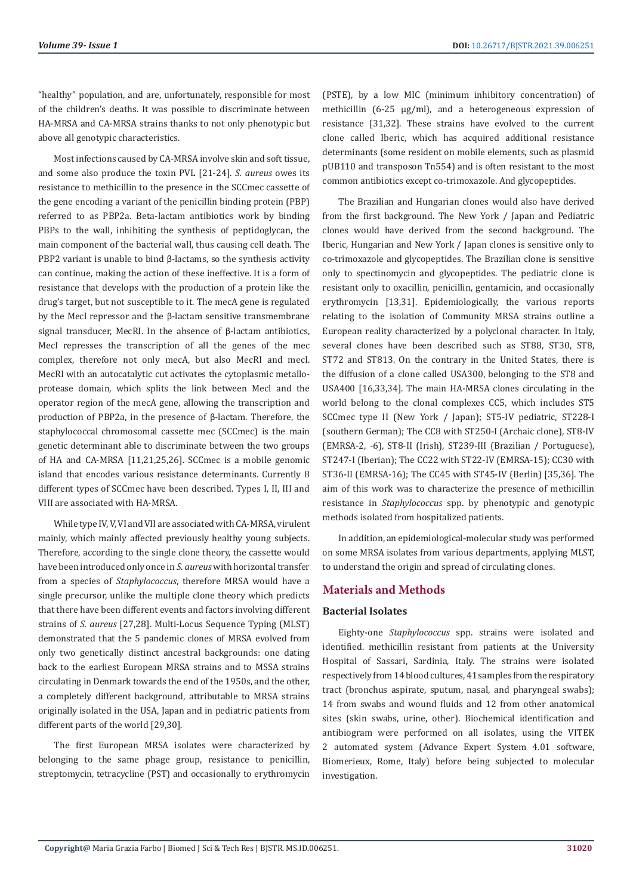"healthy" population, and are, unfortunately, responsible for most of the children's deaths. It was possible to discriminate between HA-MRSA and CA-MRSA strains thanks to not only phenotypic but above all genotypic characteristics.

Most infections caused by CA-MRSA involve skin and soft tissue, and some also produce the toxin PVL [21-24]. *S. aureus* owes its resistance to methicillin to the presence in the SCCmec cassette of the gene encoding a variant of the penicillin binding protein (PBP) referred to as PBP2a. Beta-lactam antibiotics work by binding PBPs to the wall, inhibiting the synthesis of peptidoglycan, the main component of the bacterial wall, thus causing cell death. The PBP2 variant is unable to bind β-lactams, so the synthesis activity can continue, making the action of these ineffective. It is a form of resistance that develops with the production of a protein like the drug's target, but not susceptible to it. The mecA gene is regulated by the Mecl repressor and the β-lactam sensitive transmembrane signal transducer, MecRI. In the absence of β-lactam antibiotics, MecI represses the transcription of all the genes of the mec complex, therefore not only mecA, but also MecRI and mecI. MecRI with an autocatalytic cut activates the cytoplasmic metalloprotease domain, which splits the link between Mecl and the operator region of the mecA gene, allowing the transcription and production of PBP2a, in the presence of β-lactam. Therefore, the staphylococcal chromosomal cassette mec (SCCmec) is the main genetic determinant able to discriminate between the two groups of HA and CA-MRSA [11,21,25,26]. SCCmec is a mobile genomic island that encodes various resistance determinants. Currently 8 different types of SCCmec have been described. Types I, II, III and VIII are associated with HA-MRSA.

While type IV, V, VI and VII are associated with CA-MRSA, virulent mainly, which mainly affected previously healthy young subjects. Therefore, according to the single clone theory, the cassette would have been introduced only once in *S. aureus* with horizontal transfer from a species of *Staphylococcus*, therefore MRSA would have a single precursor, unlike the multiple clone theory which predicts that there have been different events and factors involving different strains of *S. aureus* [27,28]. Multi-Locus Sequence Typing (MLST) demonstrated that the 5 pandemic clones of MRSA evolved from only two genetically distinct ancestral backgrounds: one dating back to the earliest European MRSA strains and to MSSA strains circulating in Denmark towards the end of the 1950s, and the other, a completely different background, attributable to MRSA strains originally isolated in the USA, Japan and in pediatric patients from different parts of the world [29,30].

The first European MRSA isolates were characterized by belonging to the same phage group, resistance to penicillin, streptomycin, tetracycline (PST) and occasionally to erythromycin (PSTE), by a low MIC (minimum inhibitory concentration) of methicillin (6-25 μg/ml), and a heterogeneous expression of resistance [31,32]. These strains have evolved to the current clone called Iberic, which has acquired additional resistance determinants (some resident on mobile elements, such as plasmid pUB110 and transposon Tn554) and is often resistant to the most common antibiotics except co-trimoxazole. And glycopeptides.

The Brazilian and Hungarian clones would also have derived from the first background. The New York / Japan and Pediatric clones would have derived from the second background. The Iberic, Hungarian and New York / Japan clones is sensitive only to co-trimoxazole and glycopeptides. The Brazilian clone is sensitive only to spectinomycin and glycopeptides. The pediatric clone is resistant only to oxacillin, penicillin, gentamicin, and occasionally erythromycin [13,31]. Epidemiologically, the various reports relating to the isolation of Community MRSA strains outline a European reality characterized by a polyclonal character. In Italy, several clones have been described such as ST88, ST30, ST8, ST72 and ST813. On the contrary in the United States, there is the diffusion of a clone called USA300, belonging to the ST8 and USA400 [16,33,34]. The main HA-MRSA clones circulating in the world belong to the clonal complexes CC5, which includes ST5 SCCmec type II (New York / Japan); ST5-IV pediatric, ST228-I (southern German); The CC8 with ST250-I (Archaic clone), ST8-IV (EMRSA-2, -6), ST8-II (Irish), ST239-III (Brazilian / Portuguese), ST247-I (Iberian); The CC22 with ST22-IV (EMRSA-15); CC30 with ST36-II (EMRSA-16); The CC45 with ST45-IV (Berlin) [35,36]. The aim of this work was to characterize the presence of methicillin resistance in *Staphylococcus* spp. by phenotypic and genotypic methods isolated from hospitalized patients.

In addition, an epidemiological-molecular study was performed on some MRSA isolates from various departments, applying MLST, to understand the origin and spread of circulating clones.

# **Materials and Methods**

### **Bacterial Isolates**

Eighty-one *Staphylococcus* spp. strains were isolated and identified. methicillin resistant from patients at the University Hospital of Sassari, Sardinia, Italy. The strains were isolated respectively from 14 blood cultures, 41 samples from the respiratory tract (bronchus aspirate, sputum, nasal, and pharyngeal swabs); 14 from swabs and wound fluids and 12 from other anatomical sites (skin swabs, urine, other). Biochemical identification and antibiogram were performed on all isolates, using the VITEK 2 automated system (Advance Expert System 4.01 software, Biomerieux, Rome, Italy) before being subjected to molecular investigation.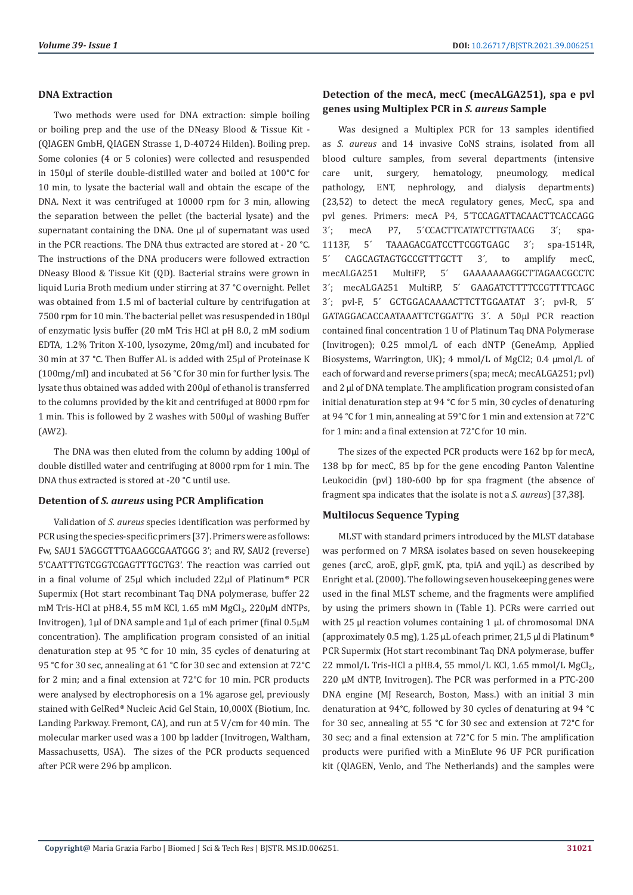#### **DNA Extraction**

Two methods were used for DNA extraction: simple boiling or boiling prep and the use of the DNeasy Blood & Tissue Kit - (QIAGEN GmbH, QIAGEN Strasse 1, D-40724 Hilden). Boiling prep. Some colonies (4 or 5 colonies) were collected and resuspended in 150μl of sterile double-distilled water and boiled at 100°C for 10 min, to lysate the bacterial wall and obtain the escape of the DNA. Next it was centrifuged at 10000 rpm for 3 min, allowing the separation between the pellet (the bacterial lysate) and the supernatant containing the DNA. One μl of supernatant was used in the PCR reactions. The DNA thus extracted are stored at - 20 °C. The instructions of the DNA producers were followed extraction DNeasy Blood & Tissue Kit (QD). Bacterial strains were grown in liquid Luria Broth medium under stirring at 37 °C overnight. Pellet was obtained from 1.5 ml of bacterial culture by centrifugation at 7500 rpm for 10 min. The bacterial pellet was resuspended in 180μl of enzymatic lysis buffer (20 mM Tris HCl at pH 8.0, 2 mM sodium EDTA, 1.2% Triton X-100, lysozyme, 20mg/ml) and incubated for 30 min at 37 °C. Then Buffer AL is added with 25μl of Proteinase K (100mg/ml) and incubated at 56 °C for 30 min for further lysis. The lysate thus obtained was added with 200μl of ethanol is transferred to the columns provided by the kit and centrifuged at 8000 rpm for 1 min. This is followed by 2 washes with 500μl of washing Buffer (AW2).

The DNA was then eluted from the column by adding 100μl of double distilled water and centrifuging at 8000 rpm for 1 min. The DNA thus extracted is stored at -20 °C until use.

### **Detention of** *S. aureus* **using PCR Amplification**

Validation of *S. aureus* species identification was performed by PCR using the species-specific primers [37]. Primers were as follows: Fw, SAU1 5'AGGGTTTGAAGGCGAATGGG 3'; and RV, SAU2 (reverse) 5'CAATTTGTCGGTCGAGTTTGCTG3'. The reaction was carried out in a final volume of 25μl which included 22μl of Platinum® PCR Supermix (Hot start recombinant Taq DNA polymerase, buffer 22 mM Tris-HCl at pH8.4, 55 mM KCl, 1.65 mM MgCl<sub>2</sub>, 220μM dNTPs, Invitrogen), 1μl of DNA sample and 1μl of each primer (final 0.5μM concentration). The amplification program consisted of an initial denaturation step at 95 °C for 10 min, 35 cycles of denaturing at 95 °C for 30 sec, annealing at 61 °C for 30 sec and extension at 72°C for 2 min; and a final extension at 72°C for 10 min. PCR products were analysed by electrophoresis on a 1% agarose gel, previously stained with GelRed® Nucleic Acid Gel Stain, 10,000X (Biotium, Inc. Landing Parkway. Fremont, CA), and run at 5 V/cm for 40 min. The molecular marker used was a 100 bp ladder (Invitrogen, Waltham, Massachusetts, USA). The sizes of the PCR products sequenced after PCR were 296 bp amplicon.

# **Detection of the mecA, mecC (mecALGA251), spa e pvl genes using Multiplex PCR in** *S. aureus* **Sample**

Was designed a Multiplex PCR for 13 samples identified as *S. aureus* and 14 invasive CoNS strains, isolated from all blood culture samples, from several departments (intensive care unit, surgery, hematology, pneumology, medical pathology, ENT, nephrology, and dialysis departments) (23,52) to detect the mecA regulatory genes, MecC, spa and pvl genes. Primers: mecA P4, 5´TCCAGATTACAACTTCACCAGG 3´; mecA P7, 5´CCACTTCATATCTTGTAACG 3´; spa-1113F, 5´ TAAAGACGATCCTTCGGTGAGC 3´; spa-1514R, 5´ CAGCAGTAGTGCCGTTTGCTT 3´, to amplify mecC, mecALGA251 MultiFP, 5´ GAAAAAAAGGCTTAGAACGCCTC 3´; mecALGA251 MultiRP, 5´ GAAGATCTTTTCCGTTTTCAGC 3´; pvl-F, 5´ GCTGGACAAAACTTCTTGGAATAT 3´; pvl-R, 5´ GATAGGACACCAATAAATTCTGGATTG 3´. A 50μl PCR reaction contained final concentration 1 U of Platinum Taq DNA Polymerase (Invitrogen); 0.25 mmol/L of each dNTP (GeneAmp, Applied Biosystems, Warrington, UK); 4 mmol/L of MgCl2; 0.4 μmol/L of each of forward and reverse primers (spa; mecA; mecALGA251; pvl) and 2 μl of DNA template. The amplification program consisted of an initial denaturation step at 94 °C for 5 min, 30 cycles of denaturing at 94 °C for 1 min, annealing at 59°C for 1 min and extension at 72°C for 1 min: and a final extension at 72°C for 10 min.

The sizes of the expected PCR products were 162 bp for mecA, 138 bp for mecC, 85 bp for the gene encoding Panton Valentine Leukocidin (pvl) 180-600 bp for spa fragment (the absence of fragment spa indicates that the isolate is not a *S. aureus*) [37,38].

### **Multilocus Sequence Typing**

MLST with standard primers introduced by the MLST database was performed on 7 MRSA isolates based on seven housekeeping genes (arcC, aroE, glpF, gmK, pta, tpiA and yqiL) as described by Enright et al. (2000). The following seven housekeeping genes were used in the final MLST scheme, and the fragments were amplified by using the primers shown in (Table 1). PCRs were carried out with 25 µl reaction volumes containing 1 µL of chromosomal DNA (approximately 0.5 mg), 1.25 µL of each primer, 21,5 µl di Platinum® PCR Supermix (Hot start recombinant Taq DNA polymerase, buffer 22 mmol/L Tris-HCl a pH8.4, 55 mmol/L KCl, 1.65 mmol/L MgCl₂, 220 µM dNTP, Invitrogen). The PCR was performed in a PTC-200 DNA engine (MJ Research, Boston, Mass.) with an initial 3 min denaturation at 94°C, followed by 30 cycles of denaturing at 94 °C for 30 sec, annealing at 55 °C for 30 sec and extension at 72°C for 30 sec; and a final extension at 72°C for 5 min. The amplification products were purified with a MinElute 96 UF PCR purification kit (QIAGEN, Venlo, and The Netherlands) and the samples were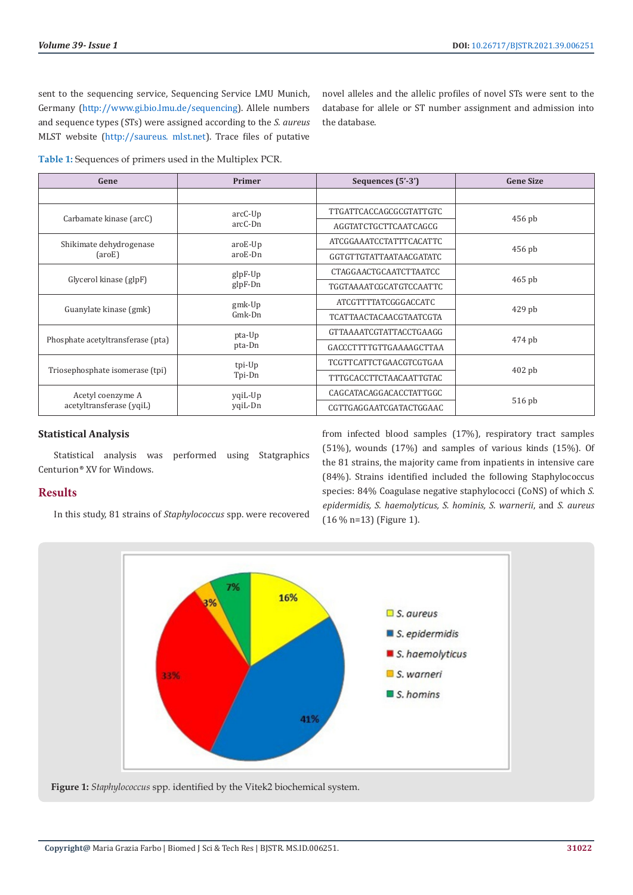novel alleles and the allelic profiles of novel STs were sent to the database for allele or ST number assignment and admission into

sent to the sequencing service, Sequencing Service LMU Munich, Germany ([http://www.gi.bio.lmu.de/sequencing\)](http://www.gi.bio.lmu.de/sequencing). Allele numbers and sequence types (STs) were assigned according to the *S. aureus* MLST website [\(http://saureus. mlst.net](http://saureus. mlst.net)). Trace files of putative

**Table 1:** Sequences of primers used in the Multiplex PCR.

| Gene                                          | Primer               | Sequences (5'-3')              | <b>Gene Size</b> |
|-----------------------------------------------|----------------------|--------------------------------|------------------|
|                                               |                      |                                |                  |
| Carbamate kinase (arcC)                       | $arcC-Up$<br>arcC-Dn | TTGATTCACCAGCGCGTATTGTC        | $456$ pb         |
|                                               |                      | AGGTATCTGCTTCAATCAGCG          |                  |
| Shikimate dehydrogenase<br>$(\text{arcE})$    | $arcE-Up$<br>aroE-Dn | <b>ATCGGAAATCCTATTTCACATTC</b> | $456$ pb         |
|                                               |                      | GGTGTTGTATTAATAACGATATC        |                  |
| Glycerol kinase (glpF)                        | glpF-Up<br>$glpF-Dn$ | CTAGGAACTGCAATCTTAATCC         | $465$ pb         |
|                                               |                      | <b>TGGTAAAATCGCATGTCCAATTC</b> |                  |
| Guanylate kinase (gmk)                        | $gmk-Up$<br>Gmk-Dn   | ATCGTTTTATCGGGACCATC           | $429$ pb         |
|                                               |                      | <b>TCATTAACTACAACGTAATCGTA</b> |                  |
| Phosphate acetyltransferase (pta)             | pta-Up<br>pta-Dn     | GTTAAAATCGTATTACCTGAAGG        | 474 pb           |
|                                               |                      | GACCCTTTTGTTGAAAAGCTTAA        |                  |
| Triosephosphate isomerase (tpi)               | tpi-Up<br>Tpi-Dn     | TCGTTCATTCTGAACGTCGTGAA        | $402$ pb         |
|                                               |                      | <b>TTTGCACCTTCTAACAATTGTAC</b> |                  |
| Acetyl coenzyme A<br>acetyltransferase (yqiL) | yqiL-Up<br>yqiL-Dn   | CAGCATACAGGACACCTATTGGC        | 516 pb           |
|                                               |                      | CGTTGAGGAATCGATACTGGAAC        |                  |

the database.

#### **Statistical Analysis**

Statistical analysis was performed using Statgraphics Centurion® XV for Windows.

#### **Results**

In this study, 81 strains of *Staphylococcus* spp. were recovered

from infected blood samples (17%), respiratory tract samples (51%), wounds (17%) and samples of various kinds (15%). Of the 81 strains, the majority came from inpatients in intensive care (84%). Strains identified included the following Staphylococcus species: 84% Coagulase negative staphylococci (CoNS) of which *S. epidermidis, S. haemolyticus, S. hominis, S. warnerii*, and *S. aureus* (16 % n=13) (Figure 1).



**Figure 1:** *Staphylococcus* spp. identified by the Vitek2 biochemical system.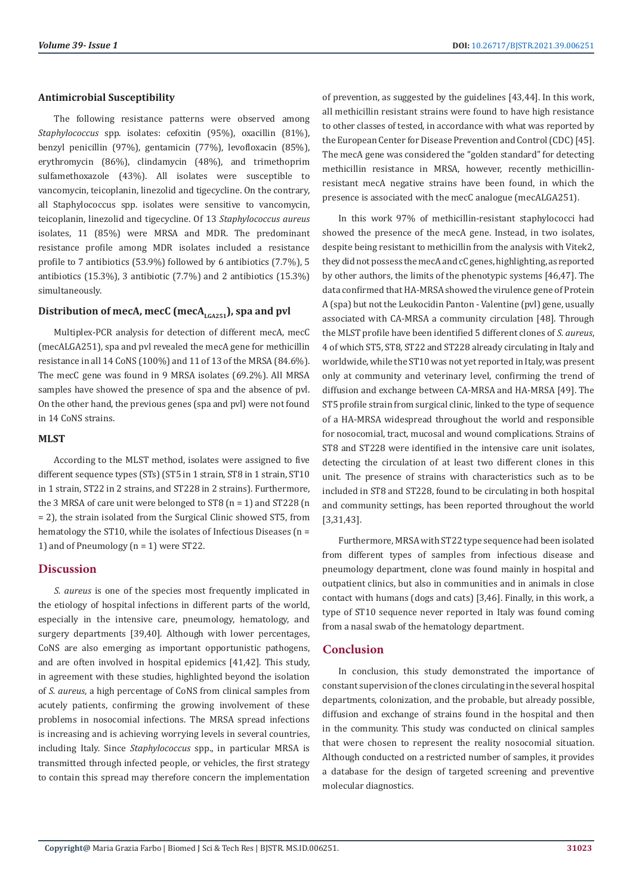### **Antimicrobial Susceptibility**

The following resistance patterns were observed among *Staphylococcus* spp. isolates: cefoxitin (95%), oxacillin (81%), benzyl penicillin (97%), gentamicin (77%), levofloxacin (85%), erythromycin (86%), clindamycin (48%), and trimethoprim sulfamethoxazole (43%). All isolates were susceptible to vancomycin, teicoplanin, linezolid and tigecycline. On the contrary, all Staphylococcus spp. isolates were sensitive to vancomycin, teicoplanin, linezolid and tigecycline. Of 13 *Staphylococcus aureus*  isolates, 11 (85%) were MRSA and MDR. The predominant resistance profile among MDR isolates included a resistance profile to 7 antibiotics (53.9%) followed by 6 antibiotics (7.7%), 5 antibiotics (15.3%), 3 antibiotic (7.7%) and 2 antibiotics (15.3%) simultaneously.

# Distribution of mecA, mecC (mecA<sub>LGA251</sub>), spa and pvl

Multiplex-PCR analysis for detection of different mecA, mecC (mecALGA251), spa and pvl revealed the mecA gene for methicillin resistance in all 14 CoNS (100%) and 11 of 13 of the MRSA (84.6%). The mecC gene was found in 9 MRSA isolates (69.2%). All MRSA samples have showed the presence of spa and the absence of pvl. On the other hand, the previous genes (spa and pvl) were not found in 14 CoNS strains.

#### **MLST**

According to the MLST method, isolates were assigned to five different sequence types (STs) (ST5 in 1 strain, ST8 in 1 strain, ST10 in 1 strain, ST22 in 2 strains, and ST228 in 2 strains). Furthermore, the 3 MRSA of care unit were belonged to ST8 (n = 1) and ST228 (n = 2), the strain isolated from the Surgical Clinic showed ST5, from hematology the ST10, while the isolates of Infectious Diseases (n = 1) and of Pneumology (n = 1) were ST22.

### **Discussion**

*S. aureus* is one of the species most frequently implicated in the etiology of hospital infections in different parts of the world, especially in the intensive care, pneumology, hematology, and surgery departments [39,40]. Although with lower percentages, CoNS are also emerging as important opportunistic pathogens, and are often involved in hospital epidemics [41,42]. This study, in agreement with these studies, highlighted beyond the isolation of *S. aureus*, a high percentage of CoNS from clinical samples from acutely patients, confirming the growing involvement of these problems in nosocomial infections. The MRSA spread infections is increasing and is achieving worrying levels in several countries, including Italy. Since *Staphylococcus* spp., in particular MRSA is transmitted through infected people, or vehicles, the first strategy to contain this spread may therefore concern the implementation

of prevention, as suggested by the guidelines [43,44]. In this work, all methicillin resistant strains were found to have high resistance to other classes of tested, in accordance with what was reported by the European Center for Disease Prevention and Control (CDC) [45]. The mecA gene was considered the "golden standard" for detecting methicillin resistance in MRSA, however, recently methicillinresistant mecA negative strains have been found, in which the presence is associated with the mecC analogue (mecALGA251).

In this work 97% of methicillin-resistant staphylococci had showed the presence of the mecA gene. Instead, in two isolates, despite being resistant to methicillin from the analysis with Vitek2, they did not possess the mecA and cC genes, highlighting, as reported by other authors, the limits of the phenotypic systems [46,47]. The data confirmed that HA-MRSA showed the virulence gene of Protein A (spa) but not the Leukocidin Panton - Valentine (pvl) gene, usually associated with CA-MRSA a community circulation [48]. Through the MLST profile have been identified 5 different clones of *S. aureus*, 4 of which ST5, ST8, ST22 and ST228 already circulating in Italy and worldwide, while the ST10 was not yet reported in Italy, was present only at community and veterinary level, confirming the trend of diffusion and exchange between CA-MRSA and HA-MRSA [49]. The ST5 profile strain from surgical clinic, linked to the type of sequence of a HA-MRSA widespread throughout the world and responsible for nosocomial, tract, mucosal and wound complications. Strains of ST8 and ST228 were identified in the intensive care unit isolates, detecting the circulation of at least two different clones in this unit. The presence of strains with characteristics such as to be included in ST8 and ST228, found to be circulating in both hospital and community settings, has been reported throughout the world [3,31,43].

Furthermore, MRSA with ST22 type sequence had been isolated from different types of samples from infectious disease and pneumology department, clone was found mainly in hospital and outpatient clinics, but also in communities and in animals in close contact with humans (dogs and cats) [3,46]. Finally, in this work, a type of ST10 sequence never reported in Italy was found coming from a nasal swab of the hematology department.

# **Conclusion**

In conclusion, this study demonstrated the importance of constant supervision of the clones circulating in the several hospital departments, colonization, and the probable, but already possible, diffusion and exchange of strains found in the hospital and then in the community. This study was conducted on clinical samples that were chosen to represent the reality nosocomial situation. Although conducted on a restricted number of samples, it provides a database for the design of targeted screening and preventive molecular diagnostics.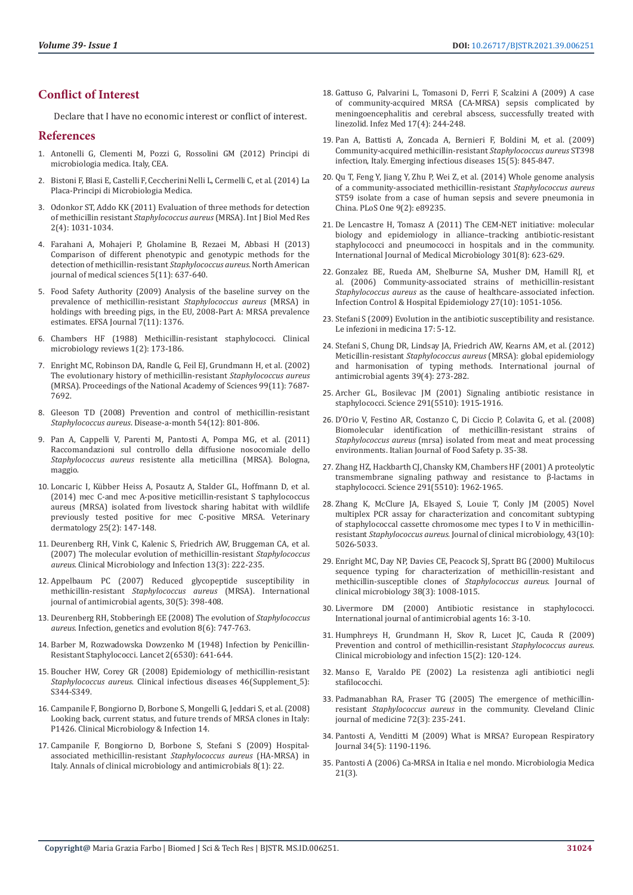## **Conflict of Interest**

Declare that I have no economic interest or conflict of interest.

#### **References**

- 1. Antonelli G, Clementi M, Pozzi G, Rossolini GM (2012) Principi di microbiologia medica. Italy, CEA.
- 2. Bistoni F, Blasi E, Castelli F, Ceccherini Nelli L, Cermelli C, et al. (2014) La Placa-Principi di Microbiologia Medica.
- 3. [Odonkor ST, Addo KK \(2011\) Evaluation of three methods for detection](https://www.researchgate.net/publication/256638790_Evaluation_of_Three_Methods_For_Detection_of_Methicillin_Resistant_Staphylococcus_Aureus_MRSA)  of methicillin resistant *Staphylococcus aureus* [\(MRSA\). Int J Biol Med Res](https://www.researchgate.net/publication/256638790_Evaluation_of_Three_Methods_For_Detection_of_Methicillin_Resistant_Staphylococcus_Aureus_MRSA)  [2\(4\): 1031-1034.](https://www.researchgate.net/publication/256638790_Evaluation_of_Three_Methods_For_Detection_of_Methicillin_Resistant_Staphylococcus_Aureus_MRSA)
- 4. [Farahani A, Mohajeri P, Gholamine B, Rezaei M, Abbasi H \(2013\)](https://www.ncbi.nlm.nih.gov/pmc/articles/PMC3877436/)  [Comparison of different phenotypic and genotypic methods for the](https://www.ncbi.nlm.nih.gov/pmc/articles/PMC3877436/)  [detection of methicillin-resistant](https://www.ncbi.nlm.nih.gov/pmc/articles/PMC3877436/) *Staphylococcus aureus*. North American [journal of medical sciences 5\(11\): 637-640.](https://www.ncbi.nlm.nih.gov/pmc/articles/PMC3877436/)
- 5. [Food Safety Authority \(2009\) Analysis of the baseline survey on the](https://efsa.onlinelibrary.wiley.com/doi/pdf/10.2903/j.efsa.2009.1376)  [prevalence of methicillin-resistant](https://efsa.onlinelibrary.wiley.com/doi/pdf/10.2903/j.efsa.2009.1376) *Staphylococcus aureus* (MRSA) in [holdings with breeding pigs, in the EU, 2008-Part A: MRSA prevalence](https://efsa.onlinelibrary.wiley.com/doi/pdf/10.2903/j.efsa.2009.1376)  [estimates. EFSA Journal 7\(11\): 1376.](https://efsa.onlinelibrary.wiley.com/doi/pdf/10.2903/j.efsa.2009.1376)
- 6. [Chambers HF \(1988\) Methicillin-resistant staphylococci. Clinical](https://pubmed.ncbi.nlm.nih.gov/3069195/)  [microbiology reviews 1\(2\): 173-186.](https://pubmed.ncbi.nlm.nih.gov/3069195/)
- 7. [Enright MC, Robinson DA, Randle G, Feil EJ, Grundmann H, et al. \(2002\)](https://pubmed.ncbi.nlm.nih.gov/12032344/)  [The evolutionary history of methicillin-resistant](https://pubmed.ncbi.nlm.nih.gov/12032344/) *Staphylococcus aureus* [\(MRSA\). Proceedings of the National Academy of Sciences 99\(11\): 7687-](https://pubmed.ncbi.nlm.nih.gov/12032344/) [7692.](https://pubmed.ncbi.nlm.nih.gov/12032344/)
- 8. Gleeson TD (2008) Prevention and control of methicillin-resistant *Staphylococcus aureus*. Disease-a-month 54(12): 801-806.
- 9. [Pan A, Cappelli V, Parenti M, Pantosti A, Pompa MG, et al. \(2011\)](https://assr.regione.emilia-romagna.it/pubblicazioni/rapporti-documenti/raccomandazioni-mrsa-pan-2011)  [Raccomandazioni sul controllo della diffusione nosocomiale dello](https://assr.regione.emilia-romagna.it/pubblicazioni/rapporti-documenti/raccomandazioni-mrsa-pan-2011)  *Staphylococcus aureus* [resistente alla meticillina \(MRSA\). Bologna,](https://assr.regione.emilia-romagna.it/pubblicazioni/rapporti-documenti/raccomandazioni-mrsa-pan-2011)  [maggio.](https://assr.regione.emilia-romagna.it/pubblicazioni/rapporti-documenti/raccomandazioni-mrsa-pan-2011)
- 10. [Loncaric I, Kübber Heiss A, Posautz A, Stalder GL, Hoffmann D, et al.](https://pubmed.ncbi.nlm.nih.gov/24666662/)  [\(2014\) mec C-and mec A-positive meticillin-resistant S taphylococcus](https://pubmed.ncbi.nlm.nih.gov/24666662/)  [aureus \(MRSA\) isolated from livestock sharing habitat with wildlife](https://pubmed.ncbi.nlm.nih.gov/24666662/)  [previously tested positive for mec C-positive MRSA. Veterinary](https://pubmed.ncbi.nlm.nih.gov/24666662/)  [dermatology 25\(2\): 147-148.](https://pubmed.ncbi.nlm.nih.gov/24666662/)
- 11. Deurenberg RH, Vink C, Kalenic S, Friedrich AW, Bruggeman CA, et al. (2007) The molecular evolution of methicillin-resistant *Staphylococcus aureus*. Clinical Microbiology and Infection 13(3): 222-235.
- 12. [Appelbaum PC \(2007\) Reduced glycopeptide susceptibility in](https://pubmed.ncbi.nlm.nih.gov/17888634/)  methicillin-resistant *[Staphylococcus aureus](https://pubmed.ncbi.nlm.nih.gov/17888634/)* (MRSA). International [journal of antimicrobial agents, 30\(5\): 398-408.](https://pubmed.ncbi.nlm.nih.gov/17888634/)
- 13. [Deurenberg RH, Stobberingh EE \(2008\) The evolution of](https://pubmed.ncbi.nlm.nih.gov/18718557/) *Staphylococcus aureus*[. Infection, genetics and evolution 8\(6\): 747-763.](https://pubmed.ncbi.nlm.nih.gov/18718557/)
- 14. [Barber M, Rozwadowska Dowzenko M \(1948\) Infection by Penicillin-](https://pubmed.ncbi.nlm.nih.gov/18890505/)[Resistant Staphylococci. Lancet 2\(6530\): 641-644.](https://pubmed.ncbi.nlm.nih.gov/18890505/)
- 15. [Boucher HW, Corey GR \(2008\) Epidemiology of methicillin-resistant](https://academic.oup.com/cid/article/46/Supplement_5/S344/471923)  *Staphylococcus aureus*[. Clinical infectious diseases 46\(Supplement\\_5\):](https://academic.oup.com/cid/article/46/Supplement_5/S344/471923)  [S344-S349.](https://academic.oup.com/cid/article/46/Supplement_5/S344/471923)
- 16. Campanile F, Bongiorno D, Borbone S, Mongelli G, Jeddari S, et al. (2008) Looking back, current status, and future trends of MRSA clones in Italy: P1426. Clinical Microbiology & Infection 14.
- 17. [Campanile F, Bongiorno D, Borbone S, Stefani S \(2009\) Hospital](https://www.ncbi.nlm.nih.gov/pmc/articles/PMC2708121/)[associated methicillin-resistant](https://www.ncbi.nlm.nih.gov/pmc/articles/PMC2708121/) *Staphylococcus aureus* (HA-MRSA) in [Italy. Annals of clinical microbiology and antimicrobials 8\(1\): 22.](https://www.ncbi.nlm.nih.gov/pmc/articles/PMC2708121/)
- 18. [Gattuso G, Palvarini L, Tomasoni D, Ferri F, Scalzini A \(2009\) A case](https://pubmed.ncbi.nlm.nih.gov/20046106/) [of community-acquired MRSA \(CA-MRSA\) sepsis complicated by](https://pubmed.ncbi.nlm.nih.gov/20046106/) [meningoencephalitis and cerebral abscess, successfully treated with](https://pubmed.ncbi.nlm.nih.gov/20046106/) [linezolid. Infez Med 17\(4\): 244-248.](https://pubmed.ncbi.nlm.nih.gov/20046106/)
- 19. [Pan A, Battisti A, Zoncada A, Bernieri F, Boldini M, et al. \(2009\)](https://pubmed.ncbi.nlm.nih.gov/19402995/) [Community-acquired methicillin-resistant](https://pubmed.ncbi.nlm.nih.gov/19402995/) *Staphylococcus aureus* ST398 [infection, Italy. Emerging infectious diseases 15\(5\): 845-847.](https://pubmed.ncbi.nlm.nih.gov/19402995/)
- 20. [Qu T, Feng Y, Jiang Y, Zhu P, Wei Z, et al. \(2014\) Whole genome analysis](https://journals.plos.org/plosone/article?id=10.1371/journal.pone.0089235) [of a community-associated methicillin-resistant](https://journals.plos.org/plosone/article?id=10.1371/journal.pone.0089235) *Staphylococcus aureus* [ST59 isolate from a case of human sepsis and severe pneumonia in](https://journals.plos.org/plosone/article?id=10.1371/journal.pone.0089235) [China. PLoS One 9\(2\): e89235.](https://journals.plos.org/plosone/article?id=10.1371/journal.pone.0089235)
- 21. [De Lencastre H, Tomasz A \(2011\) The CEM-NET initiative: molecular](https://www.ncbi.nlm.nih.gov/pmc/articles/PMC3212844/) [biology and epidemiology in alliance–tracking antibiotic-resistant](https://www.ncbi.nlm.nih.gov/pmc/articles/PMC3212844/) [staphylococci and pneumococci in hospitals and in the community.](https://www.ncbi.nlm.nih.gov/pmc/articles/PMC3212844/) [International Journal of Medical Microbiology 301\(8\): 623-629.](https://www.ncbi.nlm.nih.gov/pmc/articles/PMC3212844/)
- 22. [Gonzalez BE, Rueda AM, Shelburne SA, Musher DM, Hamill RJ, et](https://pubmed.ncbi.nlm.nih.gov/17006811/) [al. \(2006\) Community-associated strains of methicillin-resistant](https://pubmed.ncbi.nlm.nih.gov/17006811/) *Staphylococcus aureus* [as the cause of healthcare-associated infection.](https://pubmed.ncbi.nlm.nih.gov/17006811/) [Infection Control & Hospital Epidemiology 27\(10\): 1051-1056.](https://pubmed.ncbi.nlm.nih.gov/17006811/)
- 23. Stefani S (2009) Evolution in the antibiotic susceptibility and resistance. Le infezioni in medicina 17: 5-12.
- 24. [Stefani S, Chung DR, Lindsay JA, Friedrich AW, Kearns AM, et al. \(2012\)](https://pubmed.ncbi.nlm.nih.gov/22230333/) Meticillin-resistant *Staphylococcus aureus* [\(MRSA\): global epidemiology](https://pubmed.ncbi.nlm.nih.gov/22230333/) [and harmonisation of typing methods. International journal of](https://pubmed.ncbi.nlm.nih.gov/22230333/) [antimicrobial agents 39\(4\): 273-282.](https://pubmed.ncbi.nlm.nih.gov/22230333/)
- 25. [Archer GL, Bosilevac JM \(2001\) Signaling antibiotic resistance in](https://pubmed.ncbi.nlm.nih.gov/11245199/) [staphylococci. Science 291\(5510\): 1915-1916.](https://pubmed.ncbi.nlm.nih.gov/11245199/)
- 26. [D'Orio V, Festino AR, Costanzo C, Di Ciccio P, Colavita G, et al. \(2008\)](https://www.semanticscholar.org/paper/BIOMOLECULAR-IDENTIFICATION-OF-STRAINS-OF-AUREUS-D%27orio-Festino/a8ff63331445e3608d45582603027ee7c3456b99) [Biomolecular identification of methicillin-resistant strains of](https://www.semanticscholar.org/paper/BIOMOLECULAR-IDENTIFICATION-OF-STRAINS-OF-AUREUS-D%27orio-Festino/a8ff63331445e3608d45582603027ee7c3456b99) *Staphylococcus aureus* [\(mrsa\) isolated from meat and meat processing](https://www.semanticscholar.org/paper/BIOMOLECULAR-IDENTIFICATION-OF-STRAINS-OF-AUREUS-D%27orio-Festino/a8ff63331445e3608d45582603027ee7c3456b99) [environments. Italian Journal of Food Safety p. 35-38.](https://www.semanticscholar.org/paper/BIOMOLECULAR-IDENTIFICATION-OF-STRAINS-OF-AUREUS-D%27orio-Festino/a8ff63331445e3608d45582603027ee7c3456b99)
- 27. [Zhang HZ, Hackbarth CJ, Chansky KM, Chambers HF \(2001\) A proteolytic](https://pubmed.ncbi.nlm.nih.gov/11239156/) [transmembrane signaling pathway and resistance to](https://pubmed.ncbi.nlm.nih.gov/11239156/) β-lactams in [staphylococci. Science 291\(5510\): 1962-1965.](https://pubmed.ncbi.nlm.nih.gov/11239156/)
- 28. [Zhang K, McClure JA, Elsayed S, Louie T, Conly JM \(2005\) Novel](https://pubmed.ncbi.nlm.nih.gov/16207957/) [multiplex PCR assay for characterization and concomitant subtyping](https://pubmed.ncbi.nlm.nih.gov/16207957/) [of staphylococcal cassette chromosome mec types I to V in methicillin](https://pubmed.ncbi.nlm.nih.gov/16207957/)resistant *Staphylococcus aureus*[. Journal of clinical microbiology, 43\(10\):](https://pubmed.ncbi.nlm.nih.gov/16207957/) [5026-5033.](https://pubmed.ncbi.nlm.nih.gov/16207957/)
- 29. [Enright MC, Day NP, Davies CE, Peacock SJ, Spratt BG \(2000\) Multilocus](https://pubmed.ncbi.nlm.nih.gov/10698988/) [sequence typing for characterization of methicillin-resistant and](https://pubmed.ncbi.nlm.nih.gov/10698988/) [methicillin-susceptible clones of](https://pubmed.ncbi.nlm.nih.gov/10698988/) *Staphylococcus aureus*. Journal of [clinical microbiology 38\(3\): 1008-1015.](https://pubmed.ncbi.nlm.nih.gov/10698988/)
- 30. [Livermore DM \(2000\) Antibiotic resistance in staphylococci.](https://pubmed.ncbi.nlm.nih.gov/11137402/) [International journal of antimicrobial agents 16: 3-10.](https://pubmed.ncbi.nlm.nih.gov/11137402/)
- 31. Humphreys H, Grundmann H, Skov R, Lucet JC, Cauda R (2009) Prevention and control of methicillin-resistant *Staphylococcus aureus*. Clinical microbiology and infection 15(2): 120-124.
- 32. Manso E, Varaldo PE (2002) La resistenza agli antibiotici negli stafilococchi.
- 33. Padmanabhan RA, Fraser TG (2005) The emergence of methicillinresistant *Staphylococcus aureus* in the community. Cleveland Clinic journal of medicine 72(3): 235-241.
- 34. [Pantosti A, Venditti M \(2009\) What is MRSA? European Respiratory](https://erj.ersjournals.com/content/34/5/1190.article-info) [Journal 34\(5\): 1190-1196.](https://erj.ersjournals.com/content/34/5/1190.article-info)
- 35. Pantosti A (2006) Ca-MRSA in Italia e nel mondo. Microbiologia Medica 21(3).